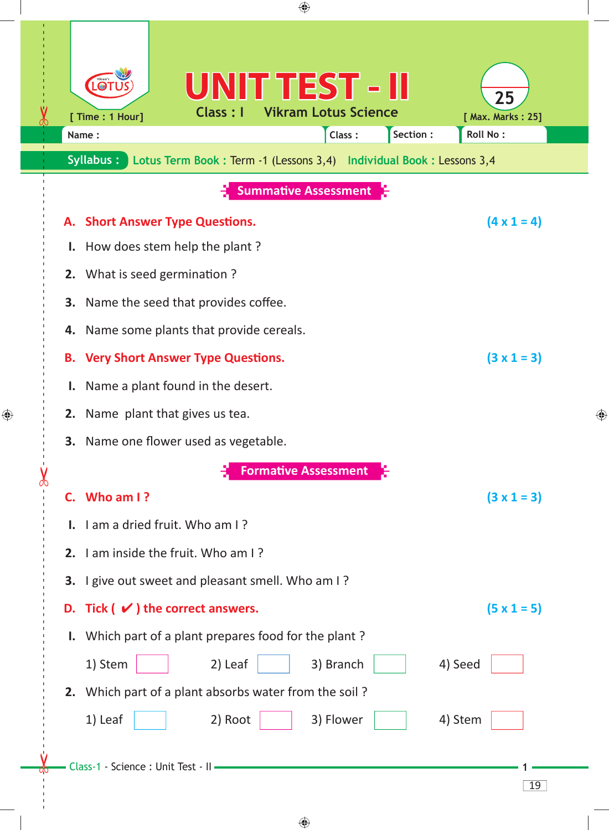| ⊕                                                                                                                                                                                                                                                                                                                              |   |
|--------------------------------------------------------------------------------------------------------------------------------------------------------------------------------------------------------------------------------------------------------------------------------------------------------------------------------|---|
| UNIT TEST - II<br>$\bullet$<br>25<br><b>Vikram Lotus Science</b><br>Class: I<br>[ Time : 1 Hour]<br>[ Max. Marks: 25]<br>Section :<br>Roll No:<br>Class:<br>Name:<br>Syllabus:<br>Lotus Term Book: Term -1 (Lessons 3,4) Individual Book: Lessons 3,4                                                                          |   |
| <b>Summative Assessment</b>                                                                                                                                                                                                                                                                                                    |   |
| $(4 \times 1 = 4)$<br>A. Short Answer Type Questions.<br>How does stem help the plant?<br>Ι.                                                                                                                                                                                                                                   |   |
| 2. What is seed germination ?<br>Name the seed that provides coffee.<br>3.<br>Name some plants that provide cereals.<br>4.<br><b>B. Very Short Answer Type Questions.</b><br>$(3 \times 1 = 3)$<br>Name a plant found in the desert.<br>ı.<br>2. Name plant that gives us tea.<br><b>3.</b> Name one flower used as vegetable. | ♠ |
| <b>Formative Assessment</b>                                                                                                                                                                                                                                                                                                    |   |
| C. Who am I?<br>$(3 \times 1 = 3)$<br><b>I.</b> I am a dried fruit. Who am I?<br>2. I am inside the fruit. Who am I?<br>3. I give out sweet and pleasant smell. Who am I?                                                                                                                                                      |   |
| D. Tick $(\vee)$ the correct answers.<br>$(5 \times 1 = 5)$                                                                                                                                                                                                                                                                    |   |
| I. Which part of a plant prepares food for the plant?<br>4) Seed<br>1) Stem<br>2) Leaf<br>3) Branch<br>2. Which part of a plant absorbs water from the soil?<br>1) Leaf<br>2) Root<br>3) Flower<br>4) Stem                                                                                                                     |   |
| Class-1 - Science : Unit Test - II -<br>19                                                                                                                                                                                                                                                                                     |   |

 $\bigoplus$ 

 $\bigoplus$